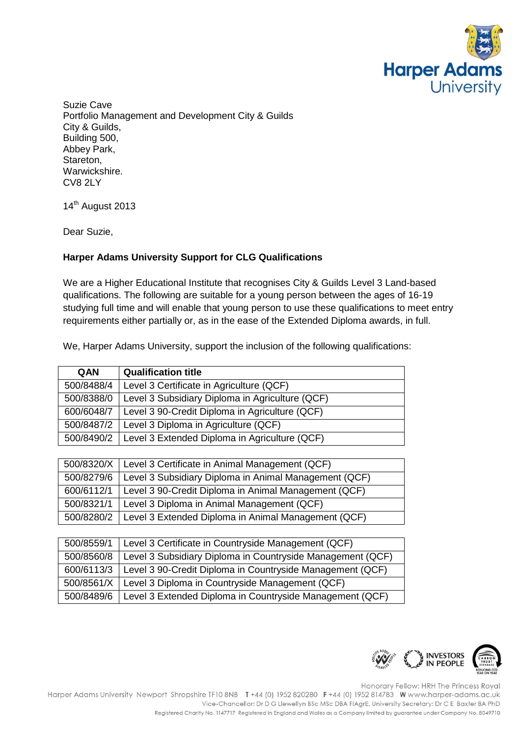

Suzie Cave Portfolio Management and Development City & Guilds City & Guilds, Building 500, Abbey Park, Stareton, Warwickshire. CV8 2LY

14<sup>th</sup> August 2013

Dear Suzie,

## **Harper Adams University Support for CLG Qualifications**

We are a Higher Educational Institute that recognises City & Guilds Level 3 Land-based qualifications. The following are suitable for a young person between the ages of 16-19 studying full time and will enable that young person to use these qualifications to meet entry requirements either partially or, as in the ease of the Extended Diploma awards, in full.

We, Harper Adams University, support the inclusion of the following qualifications:

| QAN        | <b>Qualification title</b>                      |
|------------|-------------------------------------------------|
| 500/8488/4 | Level 3 Certificate in Agriculture (QCF)        |
| 500/8388/0 | Level 3 Subsidiary Diploma in Agriculture (QCF) |
| 600/6048/7 | Level 3 90-Credit Diploma in Agriculture (QCF)  |
| 500/8487/2 | Level 3 Diploma in Agriculture (QCF)            |
| 500/8490/2 | Level 3 Extended Diploma in Agriculture (QCF)   |

| 500/8320/X | Level 3 Certificate in Animal Management (QCF)        |
|------------|-------------------------------------------------------|
| 500/8279/6 | Level 3 Subsidiary Diploma in Animal Management (QCF) |
| 600/6112/1 | Level 3 90-Credit Diploma in Animal Management (QCF)  |
| 500/8321/1 | Level 3 Diploma in Animal Management (QCF)            |
| 500/8280/2 | Level 3 Extended Diploma in Animal Management (QCF)   |

| 500/8559/1 | Level 3 Certificate in Countryside Management (QCF)        |
|------------|------------------------------------------------------------|
| 500/8560/8 | Level 3 Subsidiary Diploma in Countryside Management (QCF) |
| 600/6113/3 | Level 3 90-Credit Diploma in Countryside Management (QCF)  |
| 500/8561/X | Level 3 Diploma in Countryside Management (QCF)            |
| 500/8489/6 | Level 3 Extended Diploma in Countryside Management (QCF)   |